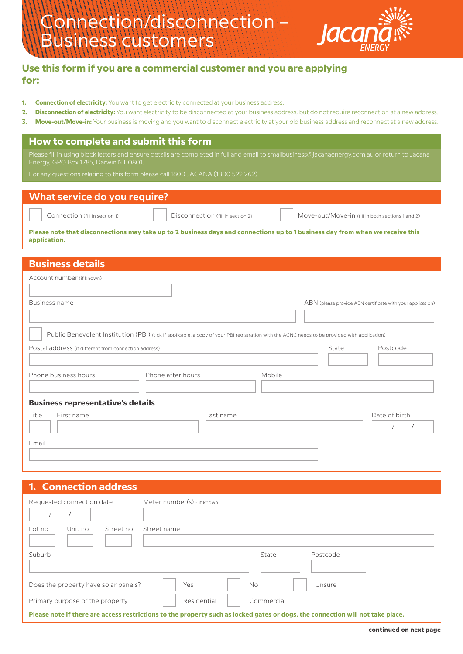

## **Use this form if you are a commercial customer and you are applying for:**

- **1. Connection of electricity:** You want to get electricity connected at your business address.
- **2. Disconnection of electricity:** You want electricity to be disconnected at your business address, but do not require reconnection at a new address.
- **3. Move-out/Move-in:** Your business is moving and you want to disconnect electricity at your old business address and reconnect at a new address.

## **How to complete and submit this form**

Please fill in using block letters and ensure details are completed in full and email to smallbusiness@jacanaenergy.com.au or return to Jacana Energy, GPO Box 1785, Darwin NT 0801.

| What service do you require? |                                                                    |                                                                                                                               |  |
|------------------------------|--------------------------------------------------------------------|-------------------------------------------------------------------------------------------------------------------------------|--|
|                              | Connection (fill in section 1)   Disconnection (fill in section 2) | Move-out/Move-in (fill in both sections 1 and 2)                                                                              |  |
| application.                 |                                                                    | Please note that disconnections may take up to 2 business days and connections up to 1 business day from when we receive this |  |

| <b>Business details</b>                               |                                                                                                                                               |        |       |                                                            |
|-------------------------------------------------------|-----------------------------------------------------------------------------------------------------------------------------------------------|--------|-------|------------------------------------------------------------|
| Account number (if known)                             |                                                                                                                                               |        |       |                                                            |
|                                                       |                                                                                                                                               |        |       |                                                            |
| Business name                                         |                                                                                                                                               |        |       | ABN (please provide ABN certificate with your application) |
|                                                       |                                                                                                                                               |        |       |                                                            |
|                                                       | Public Benevolent Institution (PBI) (tick if applicable, a copy of your PBI registration with the ACNC needs to be provided with application) |        |       |                                                            |
| Postal address (if different from connection address) |                                                                                                                                               |        | State | Postcode                                                   |
|                                                       |                                                                                                                                               |        |       |                                                            |
| Phone business hours                                  | Phone after hours                                                                                                                             | Mobile |       |                                                            |
|                                                       |                                                                                                                                               |        |       |                                                            |
| <b>Business representative's details</b>              |                                                                                                                                               |        |       |                                                            |
| Title<br>First name                                   | Last name                                                                                                                                     |        |       | Date of birth                                              |
|                                                       |                                                                                                                                               |        |       |                                                            |
|                                                       |                                                                                                                                               |        |       |                                                            |

# **1. Connection address**

| Requested connection date                                                                                                      | Meter number(s) - if known |  |  |
|--------------------------------------------------------------------------------------------------------------------------------|----------------------------|--|--|
| Unit no<br>Street no<br>Lot no                                                                                                 | Street name                |  |  |
| Suburb                                                                                                                         | State<br>Postcode          |  |  |
| Does the property have solar panels?                                                                                           | Yes<br>No<br>Unsure        |  |  |
| Primary purpose of the property                                                                                                | Residential<br>Commercial  |  |  |
| Please note if there are access restrictions to the property such as locked gates or dogs, the connection will not take place. |                            |  |  |